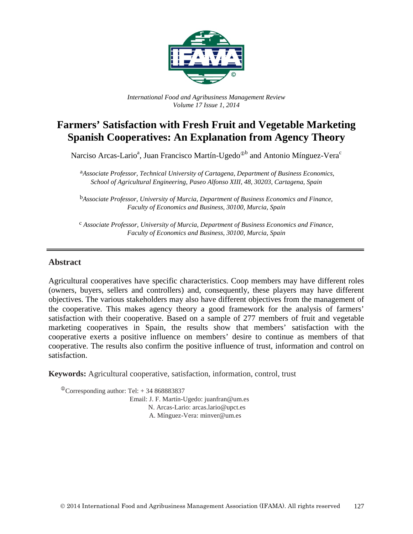

*International Food and Agribusiness Management Review Volume 17 Issue 1, 2014*

# **Farmers' Satisfaction with Fresh Fruit and Vegetable Marketing Spanish Cooperatives: An Explanation from Agency Theory**

Narciso Arcas-Lario<sup>a</sup>, Juan Francisco Martín-Ugedo<sup>⊕b</sup> and Antonio Mínguez-Vera<sup>c</sup>

a*Associate Professor, Technical University of Cartagena, Department of Business Economics, School of Agricultural Engineering, Paseo Alfonso XIII, 48, 30203, Cartagena, Spain*

b*Associate Professor, University of Murcia, Department of Business Economics and Finance, Faculty of Economics and Business, 30100, Murcia, Spain*

c *Associate Professor, University of Murcia, Department of Business Economics and Finance, Faculty of Economics and Business, 30100, Murcia, Spain*

#### **Abstract**

Agricultural cooperatives have specific characteristics. Coop members may have different roles (owners, buyers, sellers and controllers) and, consequently, these players may have different objectives. The various stakeholders may also have different objectives from the management of the cooperative. This makes agency theory a good framework for the analysis of farmers' satisfaction with their cooperative. Based on a sample of 277 members of fruit and vegetable marketing cooperatives in Spain, the results show that members' satisfaction with the cooperative exerts a positive influence on members' desire to continue as members of that cooperative. The results also confirm the positive influence of trust, information and control on satisfaction.

**Keywords:** Agricultural cooperative, satisfaction, information, control, trust

<sup>The</sup> Corresponding author: Tel:  $+34868883837$ Email: J. F. Martín-Ugedo: juanfran@um.es N. Arcas-Lario: arcas.lario@upct.es A. Mínguez-Vera: minver@um.es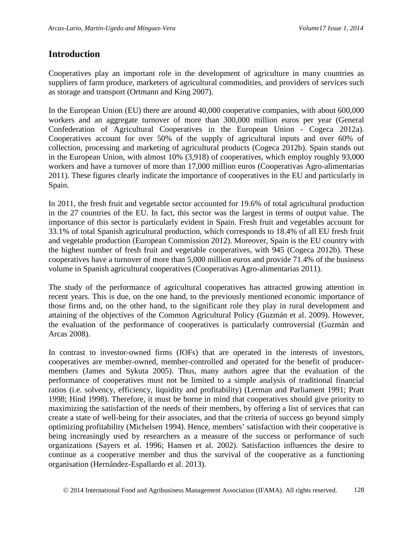### **Introduction**

Cooperatives play an important role in the development of agriculture in many countries as suppliers of farm produce, marketers of agricultural commodities, and providers of services such as storage and transport (Ortmann and King 2007).

In the European Union (EU) there are around 40,000 cooperative companies, with about 600,000 workers and an aggregate turnover of more than 300,000 million euros per year (General Confederation of Agricultural Cooperatives in the European Union - Cogeca 2012a). Cooperatives account for over 50% of the supply of agricultural inputs and over 60% of collection, processing and marketing of agricultural products (Cogeca 2012b). Spain stands out in the European Union, with almost 10% (3,918) of cooperatives, which employ roughly 93,000 workers and have a turnover of more than 17,000 million euros (Cooperativas Agro-alimentarias 2011). These figures clearly indicate the importance of cooperatives in the EU and particularly in Spain.

In 2011, the fresh fruit and vegetable sector accounted for 19.6% of total agricultural production in the 27 countries of the EU. In fact, this sector was the largest in terms of output value. The importance of this sector is particularly evident in Spain. Fresh fruit and vegetables account for 33.1% of total Spanish agricultural production, which corresponds to 18.4% of all EU fresh fruit and vegetable production (European Commission 2012). Moreover, Spain is the EU country with the highest number of fresh fruit and vegetable cooperatives, with 945 (Cogeca 2012b). These cooperatives have a turnover of more than 5,000 million euros and provide 71.4% of the business volume in Spanish agricultural cooperatives (Cooperativas Agro-alimentarias 2011).

The study of the performance of agricultural cooperatives has attracted growing attention in recent years. This is due, on the one hand, to the previously mentioned economic importance of those firms and, on the other hand, to the significant role they play in rural development and attaining of the objectives of the Common Agricultural Policy (Guzmán et al. 2009). However, the evaluation of the performance of cooperatives is particularly controversial (Guzmán and Arcas 2008).

In contrast to investor-owned firms (IOFs) that are operated in the interests of investors, cooperatives are member-owned, member-controlled and operated for the benefit of producermembers (James and Sykuta 2005). Thus, many authors agree that the evaluation of the performance of cooperatives must not be limited to a simple analysis of traditional financial ratios (i.e. solvency, efficiency, liquidity and profitability) (Lerman and Parliament 1991; Pratt 1998; Hind 1998). Therefore, it must be borne in mind that cooperatives should give priority to maximizing the satisfaction of the needs of their members, by offering a list of services that can create a state of well-being for their associates, and that the criteria of success go beyond simply optimizing profitability (Michelsen 1994). Hence, members' satisfaction with their cooperative is being increasingly used by researchers as a measure of the success or performance of such organizations (Sayers et al. 1996; Hansen et al. 2002). Satisfaction influences the desire to continue as a cooperative member and thus the survival of the cooperative as a functioning organisation (Hernández-Espallardo et al. 2013).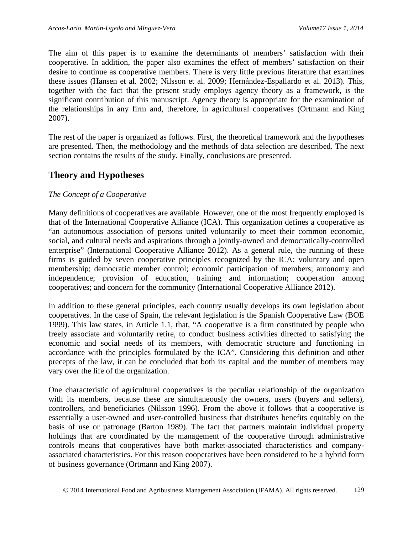The aim of this paper is to examine the determinants of members' satisfaction with their cooperative. In addition, the paper also examines the effect of members' satisfaction on their desire to continue as cooperative members. There is very little previous literature that examines these issues (Hansen et al. 2002; Nilsson et al. 2009; Hernández-Espallardo et al. 2013). This, together with the fact that the present study employs agency theory as a framework, is the significant contribution of this manuscript. Agency theory is appropriate for the examination of the relationships in any firm and, therefore, in agricultural cooperatives (Ortmann and King 2007).

The rest of the paper is organized as follows. First, the theoretical framework and the hypotheses are presented. Then, the methodology and the methods of data selection are described. The next section contains the results of the study. Finally, conclusions are presented.

## **Theory and Hypotheses**

### *The Concept of a Cooperative*

Many definitions of cooperatives are available. However, one of the most frequently employed is that of the International Cooperative Alliance (ICA). This organization defines a cooperative as "an autonomous association of persons united voluntarily to meet their common economic, social, and cultural needs and aspirations through a jointly-owned and democratically-controlled enterprise" (International Cooperative Alliance 2012). As a general rule, the running of these firms is guided by seven cooperative principles recognized by the ICA: voluntary and open membership; democratic member control; economic participation of members; autonomy and independence; provision of education, training and information; cooperation among cooperatives; and concern for the community (International Cooperative Alliance 2012).

In addition to these general principles, each country usually develops its own legislation about cooperatives. In the case of Spain, the relevant legislation is the Spanish Cooperative Law (BOE 1999). This law states, in Article 1.1, that, "A cooperative is a firm constituted by people who freely associate and voluntarily retire, to conduct business activities directed to satisfying the economic and social needs of its members, with democratic structure and functioning in accordance with the principles formulated by the ICA". Considering this definition and other precepts of the law, it can be concluded that both its capital and the number of members may vary over the life of the organization.

One characteristic of agricultural cooperatives is the peculiar relationship of the organization with its members, because these are simultaneously the owners, users (buyers and sellers), controllers, and beneficiaries (Nilsson 1996). From the above it follows that a cooperative is essentially a user-owned and user-controlled business that distributes benefits equitably on the basis of use or patronage (Barton 1989). The fact that partners maintain individual property holdings that are coordinated by the management of the cooperative through administrative controls means that cooperatives have both market-associated characteristics and companyassociated characteristics. For this reason cooperatives have been considered to be a hybrid form of business governance (Ortmann and King 2007).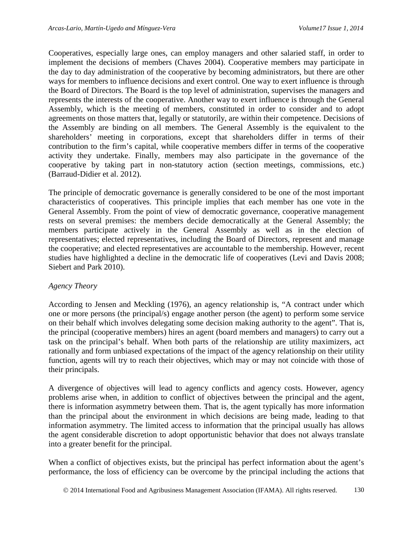Cooperatives, especially large ones, can employ managers and other salaried staff, in order to implement the decisions of members (Chaves 2004). Cooperative members may participate in the day to day administration of the cooperative by becoming administrators, but there are other ways for members to influence decisions and exert control. One way to exert influence is through the Board of Directors. The Board is the top level of administration, supervises the managers and represents the interests of the cooperative. Another way to exert influence is through the General Assembly, which is the meeting of members, constituted in order to consider and to adopt agreements on those matters that, legally or statutorily, are within their competence. Decisions of the Assembly are binding on all members. The General Assembly is the equivalent to the shareholders' meeting in corporations, except that shareholders differ in terms of their contribution to the firm's capital, while cooperative members differ in terms of the cooperative activity they undertake. Finally, members may also participate in the governance of the cooperative by taking part in non-statutory action (section meetings, commissions, etc.) (Barraud-Didier et al. 2012).

The principle of democratic governance is generally considered to be one of the most important characteristics of cooperatives. This principle implies that each member has one vote in the General Assembly. From the point of view of democratic governance, cooperative management rests on several premises: the members decide democratically at the General Assembly; the members participate actively in the General Assembly as well as in the election of representatives; elected representatives, including the Board of Directors, represent and manage the cooperative; and elected representatives are accountable to the membership. However, recent studies have highlighted a decline in the democratic life of cooperatives (Levi and Davis 2008; Siebert and Park 2010).

### *Agency Theory*

According to Jensen and Meckling (1976), an agency relationship is, "A contract under which one or more persons (the principal/s) engage another person (the agent) to perform some service on their behalf which involves delegating some decision making authority to the agent". That is, the principal (cooperative members) hires an agent (board members and managers) to carry out a task on the principal's behalf. When both parts of the relationship are utility maximizers, act rationally and form unbiased expectations of the impact of the agency relationship on their utility function, agents will try to reach their objectives, which may or may not coincide with those of their principals.

A divergence of objectives will lead to agency conflicts and agency costs. However, agency problems arise when, in addition to conflict of objectives between the principal and the agent, there is information asymmetry between them. That is, the agent typically has more information than the principal about the environment in which decisions are being made, leading to that information asymmetry. The limited access to information that the principal usually has allows the agent considerable discretion to adopt opportunistic behavior that does not always translate into a greater benefit for the principal.

When a conflict of objectives exists, but the principal has perfect information about the agent's performance, the loss of efficiency can be overcome by the principal including the actions that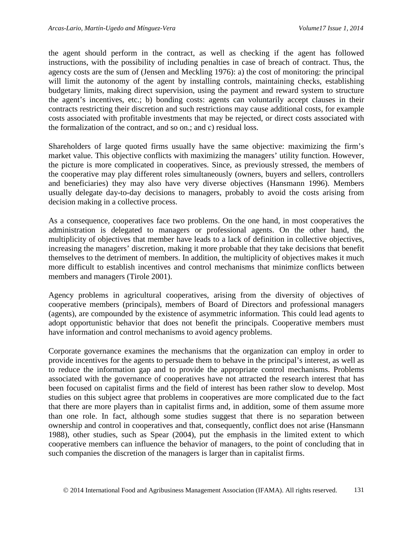the agent should perform in the contract, as well as checking if the agent has followed instructions, with the possibility of including penalties in case of breach of contract. Thus, the agency costs are the sum of (Jensen and Meckling 1976): a) the cost of monitoring: the principal will limit the autonomy of the agent by installing controls, maintaining checks, establishing budgetary limits, making direct supervision, using the payment and reward system to structure the agent's incentives, etc.; b) bonding costs: agents can voluntarily accept clauses in their contracts restricting their discretion and such restrictions may cause additional costs, for example costs associated with profitable investments that may be rejected, or direct costs associated with the formalization of the contract, and so on.; and c) residual loss.

Shareholders of large quoted firms usually have the same objective: maximizing the firm's market value. This objective conflicts with maximizing the managers' utility function. However, the picture is more complicated in cooperatives. Since, as previously stressed, the members of the cooperative may play different roles simultaneously (owners, buyers and sellers, controllers and beneficiaries) they may also have very diverse objectives (Hansmann 1996). Members usually delegate day-to-day decisions to managers, probably to avoid the costs arising from decision making in a collective process.

As a consequence, cooperatives face two problems. On the one hand, in most cooperatives the administration is delegated to managers or professional agents. On the other hand, the multiplicity of objectives that member have leads to a lack of definition in collective objectives, increasing the managers' discretion, making it more probable that they take decisions that benefit themselves to the detriment of members. In addition, the multiplicity of objectives makes it much more difficult to establish incentives and control mechanisms that minimize conflicts between members and managers (Tirole 2001).

Agency problems in agricultural cooperatives, arising from the diversity of objectives of cooperative members (principals), members of Board of Directors and professional managers (agents), are compounded by the existence of asymmetric information. This could lead agents to adopt opportunistic behavior that does not benefit the principals. Cooperative members must have information and control mechanisms to avoid agency problems.

Corporate governance examines the mechanisms that the organization can employ in order to provide incentives for the agents to persuade them to behave in the principal's interest, as well as to reduce the information gap and to provide the appropriate control mechanisms. Problems associated with the governance of cooperatives have not attracted the research interest that has been focused on capitalist firms and the field of interest has been rather slow to develop. Most studies on this subject agree that problems in cooperatives are more complicated due to the fact that there are more players than in capitalist firms and, in addition, some of them assume more than one role. In fact, although some studies suggest that there is no separation between ownership and control in cooperatives and that, consequently, conflict does not arise (Hansmann 1988), other studies, such as Spear (2004), put the emphasis in the limited extent to which cooperative members can influence the behavior of managers, to the point of concluding that in such companies the discretion of the managers is larger than in capitalist firms.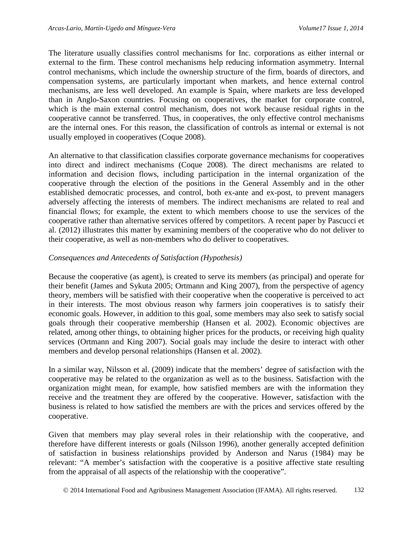The literature usually classifies control mechanisms for Inc. corporations as either internal or external to the firm. These control mechanisms help reducing information asymmetry. Internal control mechanisms, which include the ownership structure of the firm, boards of directors, and compensation systems, are particularly important when markets, and hence external control mechanisms, are less well developed. An example is Spain, where markets are less developed than in Anglo-Saxon countries. Focusing on cooperatives, the market for corporate control, which is the main external control mechanism, does not work because residual rights in the cooperative cannot be transferred. Thus, in cooperatives, the only effective control mechanisms are the internal ones. For this reason, the classification of controls as internal or external is not usually employed in cooperatives (Coque 2008).

An alternative to that classification classifies corporate governance mechanisms for cooperatives into direct and indirect mechanisms (Coque 2008). The direct mechanisms are related to information and decision flows, including participation in the internal organization of the cooperative through the election of the positions in the General Assembly and in the other established democratic processes, and control, both ex-ante and ex-post, to prevent managers adversely affecting the interests of members. The indirect mechanisms are related to real and financial flows; for example, the extent to which members choose to use the services of the cooperative rather than alternative services offered by competitors. A recent paper by Pascucci et al. (2012) illustrates this matter by examining members of the cooperative who do not deliver to their cooperative, as well as non-members who do deliver to cooperatives.

### *Consequences and Antecedents of Satisfaction (Hypothesis)*

Because the cooperative (as agent), is created to serve its members (as principal) and operate for their benefit (James and Sykuta 2005; Ortmann and King 2007), from the perspective of agency theory, members will be satisfied with their cooperative when the cooperative is perceived to act in their interests. The most obvious reason why farmers join cooperatives is to satisfy their economic goals. However, in addition to this goal, some members may also seek to satisfy social goals through their cooperative membership (Hansen et al. 2002). Economic objectives are related, among other things, to obtaining higher prices for the products, or receiving high quality services (Ortmann and King 2007). Social goals may include the desire to interact with other members and develop personal relationships (Hansen et al. 2002).

In a similar way, Nilsson et al. (2009) indicate that the members' degree of satisfaction with the cooperative may be related to the organization as well as to the business. Satisfaction with the organization might mean, for example, how satisfied members are with the information they receive and the treatment they are offered by the cooperative. However, satisfaction with the business is related to how satisfied the members are with the prices and services offered by the cooperative.

Given that members may play several roles in their relationship with the cooperative, and therefore have different interests or goals (Nilsson 1996), another generally accepted definition of satisfaction in business relationships provided by Anderson and Narus (1984) may be relevant: "A member's satisfaction with the cooperative is a positive affective state resulting from the appraisal of all aspects of the relationship with the cooperative".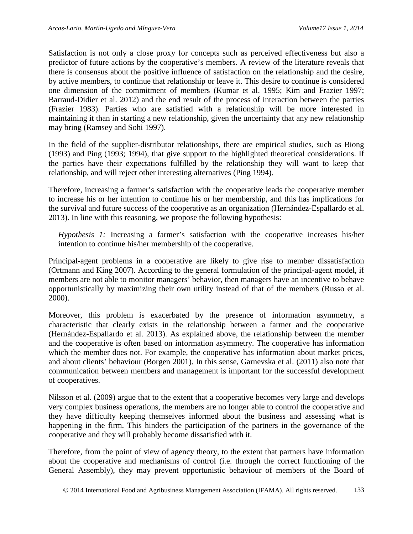Satisfaction is not only a close proxy for concepts such as perceived effectiveness but also a predictor of future actions by the cooperative's members. A review of the literature reveals that there is consensus about the positive influence of satisfaction on the relationship and the desire, by active members, to continue that relationship or leave it. This desire to continue is considered one dimension of the commitment of members (Kumar et al. 1995; Kim and Frazier 1997; Barraud-Didier et al. 2012) and the end result of the process of interaction between the parties (Frazier 1983). Parties who are satisfied with a relationship will be more interested in maintaining it than in starting a new relationship, given the uncertainty that any new relationship may bring (Ramsey and Sohi 1997).

In the field of the supplier-distributor relationships, there are empirical studies, such as Biong (1993) and Ping (1993; 1994), that give support to the highlighted theoretical considerations. If the parties have their expectations fulfilled by the relationship they will want to keep that relationship, and will reject other interesting alternatives (Ping 1994).

Therefore, increasing a farmer's satisfaction with the cooperative leads the cooperative member to increase his or her intention to continue his or her membership, and this has implications for the survival and future success of the cooperative as an organization (Hernández-Espallardo et al. 2013). In line with this reasoning, we propose the following hypothesis:

*Hypothesis 1:* Increasing a farmer's satisfaction with the cooperative increases his/her intention to continue his/her membership of the cooperative.

Principal-agent problems in a cooperative are likely to give rise to member dissatisfaction (Ortmann and King 2007). According to the general formulation of the principal-agent model, if members are not able to monitor managers' behavior, then managers have an incentive to behave opportunistically by maximizing their own utility instead of that of the members (Russo et al. 2000).

Moreover, this problem is exacerbated by the presence of information asymmetry, a characteristic that clearly exists in the relationship between a farmer and the cooperative (Hernández-Espallardo et al. 2013). As explained above, the relationship between the member and the cooperative is often based on information asymmetry. The cooperative has information which the member does not. For example, the cooperative has information about market prices, and about clients' behaviour (Borgen 2001). In this sense, Garnevska et al. (2011) also note that communication between members and management is important for the successful development of cooperatives.

Nilsson et al. (2009) argue that to the extent that a cooperative becomes very large and develops very complex business operations, the members are no longer able to control the cooperative and they have difficulty keeping themselves informed about the business and assessing what is happening in the firm. This hinders the participation of the partners in the governance of the cooperative and they will probably become dissatisfied with it.

Therefore, from the point of view of agency theory, to the extent that partners have information about the cooperative and mechanisms of control (i.e. through the correct functioning of the General Assembly), they may prevent opportunistic behaviour of members of the Board of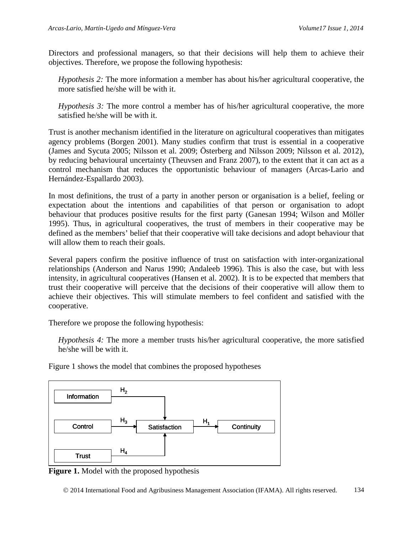Directors and professional managers, so that their decisions will help them to achieve their objectives. Therefore, we propose the following hypothesis:

*Hypothesis 2:* The more information a member has about his/her agricultural cooperative, the more satisfied he/she will be with it.

*Hypothesis 3:* The more control a member has of his/her agricultural cooperative, the more satisfied he/she will be with it.

Trust is another mechanism identified in the literature on agricultural cooperatives than mitigates agency problems (Borgen 2001). Many studies confirm that trust is essential in a cooperative (James and Sycuta 2005; Nilsson et al. 2009; Österberg and Nilsson 2009; Nilsson et al. 2012), by reducing behavioural uncertainty (Theuvsen and Franz 2007), to the extent that it can act as a control mechanism that reduces the opportunistic behaviour of managers (Arcas-Lario and Hernández-Espallardo 2003).

In most definitions, the trust of a party in another person or organisation is a belief, feeling or expectation about the intentions and capabilities of that person or organisation to adopt behaviour that produces positive results for the first party (Ganesan 1994; Wilson and Möller 1995). Thus, in agricultural cooperatives, the trust of members in their cooperative may be defined as the members' belief that their cooperative will take decisions and adopt behaviour that will allow them to reach their goals.

Several papers confirm the positive influence of trust on satisfaction with inter-organizational relationships (Anderson and Narus 1990; Andaleeb 1996). This is also the case, but with less intensity, in agricultural cooperatives (Hansen et al. 2002). It is to be expected that members that trust their cooperative will perceive that the decisions of their cooperative will allow them to achieve their objectives. This will stimulate members to feel confident and satisfied with the cooperative.

Therefore we propose the following hypothesis:

*Hypothesis 4:* The more a member trusts his/her agricultural cooperative, the more satisfied he/she will be with it.



Figure 1 shows the model that combines the proposed hypotheses



 $H_4$ 

**Control** 

**Trust** 

2014 International Food and Agribusiness Management Association (IFAMA). All rights reserved. 134

 $H_3$  Satisfaction  $H_1$  Continuity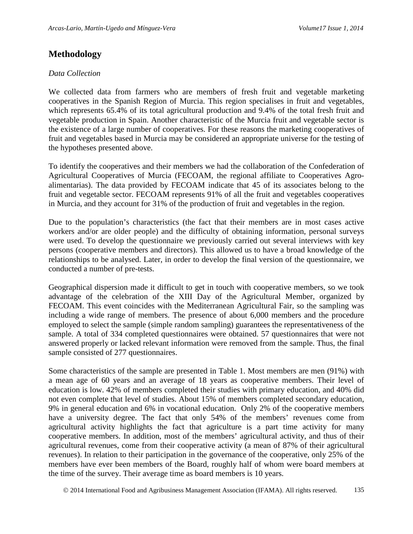## **Methodology**

#### *Data Collection*

We collected data from farmers who are members of fresh fruit and vegetable marketing cooperatives in the Spanish Region of Murcia. This region specialises in fruit and vegetables, which represents 65.4% of its total agricultural production and 9.4% of the total fresh fruit and vegetable production in Spain. Another characteristic of the Murcia fruit and vegetable sector is the existence of a large number of cooperatives. For these reasons the marketing cooperatives of fruit and vegetables based in Murcia may be considered an appropriate universe for the testing of the hypotheses presented above.

To identify the cooperatives and their members we had the collaboration of the Confederation of Agricultural Cooperatives of Murcia (FECOAM, the regional affiliate to Cooperatives Agroalimentarias). The data provided by FECOAM indicate that 45 of its associates belong to the fruit and vegetable sector. FECOAM represents 91% of all the fruit and vegetables cooperatives in Murcia, and they account for 31% of the production of fruit and vegetables in the region.

Due to the population's characteristics (the fact that their members are in most cases active workers and/or are older people) and the difficulty of obtaining information, personal surveys were used. To develop the questionnaire we previously carried out several interviews with key persons (cooperative members and directors). This allowed us to have a broad knowledge of the relationships to be analysed. Later, in order to develop the final version of the questionnaire, we conducted a number of pre-tests.

Geographical dispersion made it difficult to get in touch with cooperative members, so we took advantage of the celebration of the XIII Day of the Agricultural Member, organized by FECOAM. This event coincides with the Mediterranean Agricultural Fair, so the sampling was including a wide range of members. The presence of about 6,000 members and the procedure employed to select the sample (simple random sampling) guarantees the representativeness of the sample. A total of 334 completed questionnaires were obtained. 57 questionnaires that were not answered properly or lacked relevant information were removed from the sample. Thus, the final sample consisted of 277 questionnaires.

Some characteristics of the sample are presented in Table 1. Most members are men (91%) with a mean age of 60 years and an average of 18 years as cooperative members. Their level of education is low. 42% of members completed their studies with primary education, and 40% did not even complete that level of studies. About 15% of members completed secondary education, 9% in general education and 6% in vocational education. Only 2% of the cooperative members have a university degree. The fact that only 54% of the members' revenues come from agricultural activity highlights the fact that agriculture is a part time activity for many cooperative members. In addition, most of the members' agricultural activity, and thus of their agricultural revenues, come from their cooperative activity (a mean of 87% of their agricultural revenues). In relation to their participation in the governance of the cooperative, only 25% of the members have ever been members of the Board, roughly half of whom were board members at the time of the survey. Their average time as board members is 10 years.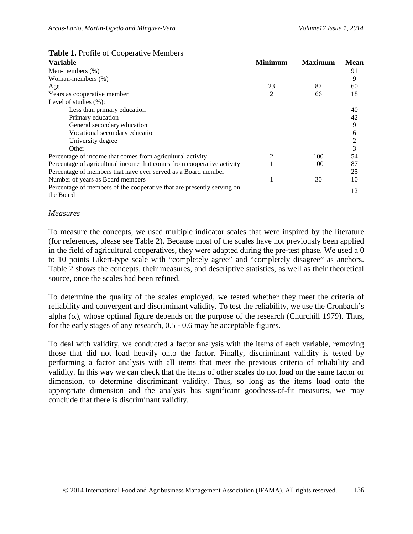|  |  |  |  | <b>Table 1. Profile of Cooperative Members</b> |
|--|--|--|--|------------------------------------------------|
|--|--|--|--|------------------------------------------------|

| <b>Variable</b>                                                        | <b>Minimum</b> | <b>Maximum</b> | <b>Mean</b>    |
|------------------------------------------------------------------------|----------------|----------------|----------------|
| Men-members $(\%)$                                                     |                |                | 91             |
| Woman-members (%)                                                      |                |                | 9              |
| Age                                                                    | 23             | 87             | 60             |
| Years as cooperative member                                            | 2              | 66             | 18             |
| Level of studies $(\%):$                                               |                |                |                |
| Less than primary education                                            |                |                | 40             |
| Primary education                                                      |                |                | 42             |
| General secondary education                                            |                |                | 9              |
| Vocational secondary education                                         |                |                | 6              |
| University degree                                                      |                |                | $\overline{c}$ |
| Other                                                                  |                |                | 3              |
| Percentage of income that comes from agricultural activity             | 2              | 100            | 54             |
| Percentage of agricultural income that comes from cooperative activity |                | 100            | 87             |
| Percentage of members that have ever served as a Board member          |                |                | 25             |
| Number of years as Board members                                       |                | 30             | 10             |
| Percentage of members of the cooperative that are presently serving on |                |                | 12             |
| the Board                                                              |                |                |                |

#### *Measures*

To measure the concepts, we used multiple indicator scales that were inspired by the literature (for references, please see Table 2). Because most of the scales have not previously been applied in the field of agricultural cooperatives, they were adapted during the pre-test phase. We used a 0 to 10 points Likert-type scale with "completely agree" and "completely disagree" as anchors. Table 2 shows the concepts, their measures, and descriptive statistics, as well as their theoretical source, once the scales had been refined.

To determine the quality of the scales employed, we tested whether they meet the criteria of reliability and convergent and discriminant validity. To test the reliability, we use the Cronbach's alpha ( $\alpha$ ), whose optimal figure depends on the purpose of the research (Churchill 1979). Thus, for the early stages of any research, 0.5 - 0.6 may be acceptable figures.

To deal with validity, we conducted a factor analysis with the items of each variable, removing those that did not load heavily onto the factor. Finally, discriminant validity is tested by performing a factor analysis with all items that meet the previous criteria of reliability and validity. In this way we can check that the items of other scales do not load on the same factor or dimension, to determine discriminant validity. Thus, so long as the items load onto the appropriate dimension and the analysis has significant goodness-of-fit measures, we may conclude that there is discriminant validity.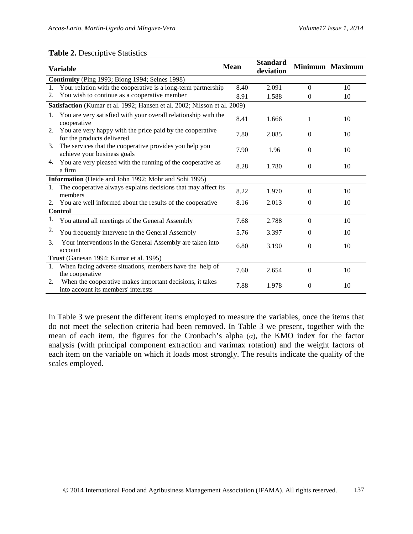#### **Table 2.** Descriptive Statistics

| <b>Variable</b>                                       |                                                                                                 | <b>Mean</b> | <b>Standard</b><br>deviation |                  | Minimum Maximum |
|-------------------------------------------------------|-------------------------------------------------------------------------------------------------|-------------|------------------------------|------------------|-----------------|
|                                                       | Continuity (Ping 1993; Biong 1994; Selnes 1998)                                                 |             |                              |                  |                 |
| $1_{-}$                                               | Your relation with the cooperative is a long-term partnership                                   | 8.40        | 2.091                        | $\Omega$         | 10              |
| 2.                                                    | You wish to continue as a cooperative member                                                    | 8.91        | 1.588                        | $\Omega$         | 10              |
|                                                       | Satisfaction (Kumar et al. 1992; Hansen et al. 2002; Nilsson et al. 2009)                       |             |                              |                  |                 |
|                                                       | 1. You are very satisfied with your overall relationship with the<br>cooperative                | 8.41        | 1.666                        | 1                | 10              |
|                                                       | 2. You are very happy with the price paid by the cooperative<br>for the products delivered      | 7.80        | 2.085                        | $\overline{0}$   | 10              |
| 3.                                                    | The services that the cooperative provides you help you<br>achieve your business goals          | 7.90        | 1.96                         | $\Omega$         | 10              |
| 4.                                                    | You are very pleased with the running of the cooperative as<br>a firm                           | 8.28        | 1.780                        | $\Omega$         | 10              |
| Information (Heide and John 1992; Mohr and Sohi 1995) |                                                                                                 |             |                              |                  |                 |
|                                                       | 1. The cooperative always explains decisions that may affect its<br>members                     | 8.22        | 1.970                        | $\boldsymbol{0}$ | 10              |
| 2.                                                    | You are well informed about the results of the cooperative                                      | 8.16        | 2.013                        | $\Omega$         | 10              |
|                                                       | <b>Control</b>                                                                                  |             |                              |                  |                 |
| 1.                                                    | You attend all meetings of the General Assembly                                                 | 7.68        | 2.788                        | $\Omega$         | 10              |
| 2.                                                    | You frequently intervene in the General Assembly                                                | 5.76        | 3.397                        | $\Omega$         | 10              |
| 3.                                                    | Your interventions in the General Assembly are taken into<br>account                            | 6.80        | 3.190                        | $\Omega$         | 10              |
|                                                       | Trust (Ganesan 1994; Kumar et al. 1995)                                                         |             |                              |                  |                 |
|                                                       | 1. When facing adverse situations, members have the help of<br>the cooperative                  | 7.60        | 2.654                        | $\Omega$         | 10              |
| 2.                                                    | When the cooperative makes important decisions, it takes<br>into account its members' interests | 7.88        | 1.978                        | $\mathbf{0}$     | 10              |

In Table 3 we present the different items employed to measure the variables, once the items that do not meet the selection criteria had been removed. In Table 3 we present, together with the mean of each item, the figures for the Cronbach's alpha  $(\alpha)$ , the KMO index for the factor analysis (with principal component extraction and varimax rotation) and the weight factors of each item on the variable on which it loads most strongly. The results indicate the quality of the scales employed.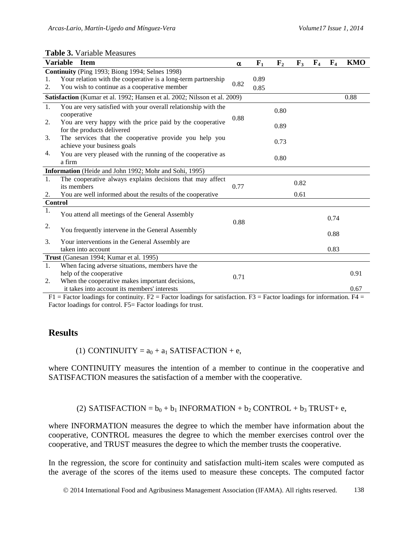|                | <b>Variable</b><br><b>Item</b>                                                          | $\alpha$ | $F_1$ | F <sub>2</sub> | $\mathbf{F}_3$ | F <sub>4</sub> | $\mathbf{F}_4$ | <b>KMO</b> |
|----------------|-----------------------------------------------------------------------------------------|----------|-------|----------------|----------------|----------------|----------------|------------|
|                | Continuity (Ping 1993; Biong 1994; Selnes 1998)                                         |          |       |                |                |                |                |            |
| 1.             | Your relation with the cooperative is a long-term partnership                           |          | 0.89  |                |                |                |                |            |
| 2.             | You wish to continue as a cooperative member                                            | 0.82     | 0.85  |                |                |                |                |            |
|                | Satisfaction (Kumar et al. 1992; Hansen et al. 2002; Nilsson et al. 2009)               |          |       |                |                |                |                | 0.88       |
| 1.             | You are very satisfied with your overall relationship with the<br>cooperative           |          |       | 0.80           |                |                |                |            |
| 2.             | You are very happy with the price paid by the cooperative<br>for the products delivered | 0.88     |       | 0.89           |                |                |                |            |
| 3.             | The services that the cooperative provide you help you<br>achieve your business goals   |          |       | 0.73           |                |                |                |            |
| 4.             | You are very pleased with the running of the cooperative as<br>a firm                   |          |       | 0.80           |                |                |                |            |
|                | Information (Heide and John 1992; Mohr and Sohi, 1995)                                  |          |       |                |                |                |                |            |
| 1.             | The cooperative always explains decisions that may affect                               |          |       |                | 0.82           |                |                |            |
|                | its members                                                                             | 0.77     |       |                |                |                |                |            |
| 2.             | You are well informed about the results of the cooperative                              |          |       |                | 0.61           |                |                |            |
| <b>Control</b> |                                                                                         |          |       |                |                |                |                |            |
| 1.             | You attend all meetings of the General Assembly                                         | 0.88     |       |                |                |                | 0.74           |            |
| 2.             | You frequently intervene in the General Assembly                                        |          |       |                |                |                | 0.88           |            |
| 3.             | Your interventions in the General Assembly are                                          |          |       |                |                |                |                |            |
|                | taken into account                                                                      |          |       |                |                |                | 0.83           |            |
|                | Trust (Ganesan 1994; Kumar et al. 1995)                                                 |          |       |                |                |                |                |            |
| 1.             | When facing adverse situations, members have the                                        |          |       |                |                |                |                |            |
|                | help of the cooperative                                                                 | 0.71     |       |                |                |                |                | 0.91       |
| 2.             | When the cooperative makes important decisions,                                         |          |       |                |                |                |                |            |
|                | it takes into account its members' interests                                            |          |       |                |                |                |                | 0.67       |

#### **Table 3.** Variable Measures

 $F1$  = Factor loadings for continuity.  $F2$  = Factor loadings for satisfaction.  $F3$  = Factor loadings for information.  $F4$  = Factor loadings for control. F5= Factor loadings for trust.

### **Results**

(1) CONTINUITY =  $a_0 + a_1$  SATISFACTION + e,

where CONTINUITY measures the intention of a member to continue in the cooperative and SATISFACTION measures the satisfaction of a member with the cooperative.

(2) SATISFACTION =  $b_0 + b_1$  INFORMATION +  $b_2$  CONTROL +  $b_3$  TRUST+ e,

where INFORMATION measures the degree to which the member have information about the cooperative, CONTROL measures the degree to which the member exercises control over the cooperative, and TRUST measures the degree to which the member trusts the cooperative.

In the regression, the score for continuity and satisfaction multi-item scales were computed as the average of the scores of the items used to measure these concepts. The computed factor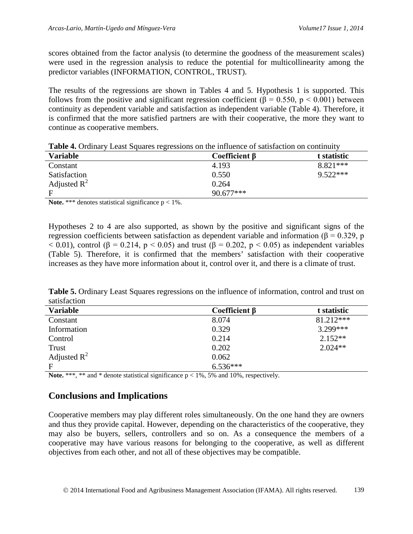scores obtained from the factor analysis (to determine the goodness of the measurement scales) were used in the regression analysis to reduce the potential for multicollinearity among the predictor variables (INFORMATION, CONTROL, TRUST).

The results of the regressions are shown in Tables 4 and 5. Hypothesis 1 is supported. This follows from the positive and significant regression coefficient ( $\beta = 0.550$ , p < 0.001) between continuity as dependent variable and satisfaction as independent variable (Table 4). Therefore, it is confirmed that the more satisfied partners are with their cooperative, the more they want to continue as cooperative members.

| <b>Table 4.</b> Ordinary Least Squares regressions on the influence of satisfaction on continuity |  |  |  |  |  |
|---------------------------------------------------------------------------------------------------|--|--|--|--|--|
|---------------------------------------------------------------------------------------------------|--|--|--|--|--|

| <b>Variable</b> | Coefficient $\beta$ | t statistic |
|-----------------|---------------------|-------------|
| Constant        | 4.193               | $8.821***$  |
| Satisfaction    | 0.550               | $9.522***$  |
| Adjusted $R^2$  | 0.264               |             |
| E               | $90.677***$         |             |

**Note.** \*\*\* denotes statistical significance  $p < 1\%$ .

Hypotheses 2 to 4 are also supported, as shown by the positive and significant signs of the regression coefficients between satisfaction as dependent variable and information (β = 0.329, p  $<$  0.01), control ( $\beta$  = 0.214, p  $<$  0.05) and trust ( $\beta$  = 0.202, p  $<$  0.05) as independent variables (Table 5). Therefore, it is confirmed that the members' satisfaction with their cooperative increases as they have more information about it, control over it, and there is a climate of trust.

**Table 5.** Ordinary Least Squares regressions on the influence of information, control and trust on satisfaction

| <b>Variable</b> | Coefficient $\beta$ | t statistic |
|-----------------|---------------------|-------------|
| Constant        | 8.074               | 81.212***   |
| Information     | 0.329               | $3.299***$  |
| Control         | 0.214               | $2.152**$   |
| Trust           | 0.202               | $2.024**$   |
| Adjusted $R^2$  | 0.062               |             |
| F               | $6.536***$          |             |

**Note.** \*\*\*, \*\* and \* denote statistical significance  $p < 1\%$ , 5% and 10%, respectively.

# **Conclusions and Implications**

Cooperative members may play different roles simultaneously. On the one hand they are owners and thus they provide capital. However, depending on the characteristics of the cooperative, they may also be buyers, sellers, controllers and so on. As a consequence the members of a cooperative may have various reasons for belonging to the cooperative, as well as different objectives from each other, and not all of these objectives may be compatible.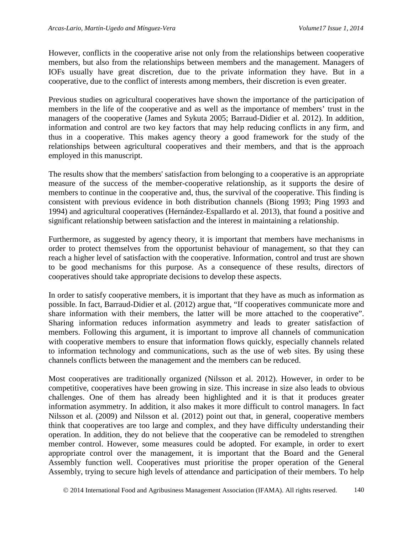However, conflicts in the cooperative arise not only from the relationships between cooperative members, but also from the relationships between members and the management. Managers of IOFs usually have great discretion, due to the private information they have. But in a cooperative, due to the conflict of interests among members, their discretion is even greater.

Previous studies on agricultural cooperatives have shown the importance of the participation of members in the life of the cooperative and as well as the importance of members' trust in the managers of the cooperative (James and Sykuta 2005; Barraud-Didier et al. 2012). In addition, information and control are two key factors that may help reducing conflicts in any firm, and thus in a cooperative. This makes agency theory a good framework for the study of the relationships between agricultural cooperatives and their members, and that is the approach employed in this manuscript.

The results show that the members' satisfaction from belonging to a cooperative is an appropriate measure of the success of the member-cooperative relationship, as it supports the desire of members to continue in the cooperative and, thus, the survival of the cooperative. This finding is consistent with previous evidence in both distribution channels (Biong 1993; Ping 1993 and 1994) and agricultural cooperatives (Hernández-Espallardo et al. 2013), that found a positive and significant relationship between satisfaction and the interest in maintaining a relationship.

Furthermore, as suggested by agency theory, it is important that members have mechanisms in order to protect themselves from the opportunist behaviour of management, so that they can reach a higher level of satisfaction with the cooperative. Information, control and trust are shown to be good mechanisms for this purpose. As a consequence of these results, directors of cooperatives should take appropriate decisions to develop these aspects.

In order to satisfy cooperative members, it is important that they have as much as information as possible. In fact, Barraud-Didier et al. (2012) argue that, "If cooperatives communicate more and share information with their members, the latter will be more attached to the cooperative". Sharing information reduces information asymmetry and leads to greater satisfaction of members. Following this argument, it is important to improve all channels of communication with cooperative members to ensure that information flows quickly, especially channels related to information technology and communications, such as the use of web sites. By using these channels conflicts between the management and the members can be reduced.

Most cooperatives are traditionally organized (Nilsson et al. 2012). However, in order to be competitive, cooperatives have been growing in size. This increase in size also leads to obvious challenges. One of them has already been highlighted and it is that it produces greater information asymmetry. In addition, it also makes it more difficult to control managers. In fact Nilsson et al. (2009) and Nilsson et al. (2012) point out that, in general, cooperative members think that cooperatives are too large and complex, and they have difficulty understanding their operation. In addition, they do not believe that the cooperative can be remodeled to strengthen member control. However, some measures could be adopted. For example, in order to exert appropriate control over the management, it is important that the Board and the General Assembly function well. Cooperatives must prioritise the proper operation of the General Assembly, trying to secure high levels of attendance and participation of their members. To help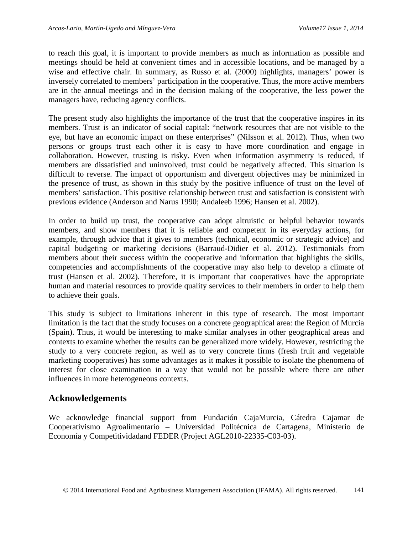to reach this goal, it is important to provide members as much as information as possible and meetings should be held at convenient times and in accessible locations, and be managed by a wise and effective chair. In summary, as Russo et al. (2000) highlights, managers' power is inversely correlated to members' participation in the cooperative. Thus, the more active members are in the annual meetings and in the decision making of the cooperative, the less power the managers have, reducing agency conflicts.

The present study also highlights the importance of the trust that the cooperative inspires in its members. Trust is an indicator of social capital: "network resources that are not visible to the eye, but have an economic impact on these enterprises" (Nilsson et al. 2012). Thus, when two persons or groups trust each other it is easy to have more coordination and engage in collaboration. However, trusting is risky. Even when information asymmetry is reduced, if members are dissatisfied and uninvolved, trust could be negatively affected. This situation is difficult to reverse. The impact of opportunism and divergent objectives may be minimized in the presence of trust, as shown in this study by the positive influence of trust on the level of members' satisfaction. This positive relationship between trust and satisfaction is consistent with previous evidence (Anderson and Narus 1990; Andaleeb 1996; Hansen et al. 2002).

In order to build up trust, the cooperative can adopt altruistic or helpful behavior towards members, and show members that it is reliable and competent in its everyday actions, for example, through advice that it gives to members (technical, economic or strategic advice) and capital budgeting or marketing decisions (Barraud-Didier et al. 2012). Testimonials from members about their success within the cooperative and information that highlights the skills, competencies and accomplishments of the cooperative may also help to develop a climate of trust (Hansen et al. 2002). Therefore, it is important that cooperatives have the appropriate human and material resources to provide quality services to their members in order to help them to achieve their goals.

This study is subject to limitations inherent in this type of research. The most important limitation is the fact that the study focuses on a concrete geographical area: the Region of Murcia (Spain). Thus, it would be interesting to make similar analyses in other geographical areas and contexts to examine whether the results can be generalized more widely. However, restricting the study to a very concrete region, as well as to very concrete firms (fresh fruit and vegetable marketing cooperatives) has some advantages as it makes it possible to isolate the phenomena of interest for close examination in a way that would not be possible where there are other influences in more heterogeneous contexts.

### **Acknowledgements**

We acknowledge financial support from Fundación CajaMurcia, Cátedra Cajamar de Cooperativismo Agroalimentario – Universidad Politécnica de Cartagena, Ministerio de Economía y Competitividadand FEDER (Project AGL2010-22335-C03-03).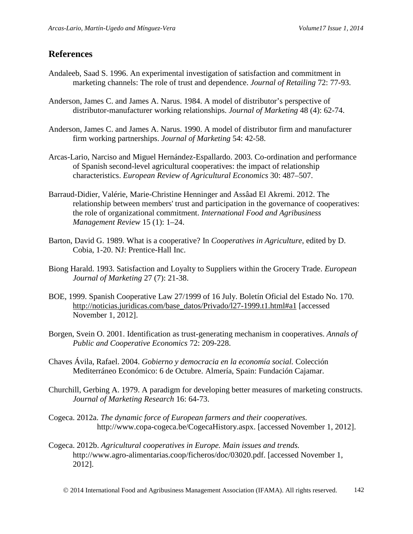### **References**

- Andaleeb, Saad S. 1996. An experimental investigation of satisfaction and commitment in marketing channels: The role of trust and dependence. *Journal of Retailing* 72: 77-93.
- Anderson, James C. and James A. Narus. 1984. A model of distributor's perspective of distributor-manufacturer working relationships. *Journal of Marketing* 48 (4): 62-74.
- Anderson, James C. and James A. Narus. 1990. A model of distributor firm and manufacturer firm working partnerships. *Journal of Marketing* 54: 42-58.
- Arcas-Lario, Narciso and Miguel Hernández-Espallardo. 2003. Co-ordination and performance of Spanish second-level agricultural cooperatives: the impact of relationship characteristics. *European Review of Agricultural Economics* 30: 487–507.
- Barraud-Didier, Valérie, Marie-Christine Henninger and Assâad El Akremi. 2012. The relationship between members' trust and participation in the governance of cooperatives: the role of organizational commitment. *International Food and Agribusiness Management Review* 15 (1): 1–24.
- Barton, David G. 1989. What is a cooperative? In *Cooperatives in Agriculture*, edited by D. Cobia, 1-20. NJ: Prentice-Hall Inc.
- Biong Harald. 1993. Satisfaction and Loyalty to Suppliers within the Grocery Trade. *European Journal of Marketing* 27 (7): 21-38.
- BOE, 1999. Spanish Cooperative Law 27/1999 of 16 July. Boletín Oficial del Estado No. 170. [http://noticias.juridicas.com/base\\_datos/Privado/l27-1999.t1.html#a1](http://noticias.juridicas.com/base_datos/Privado/l27-1999.t1.html#a1) [accessed November 1, 2012].
- Borgen, Svein O. 2001. Identification as trust-generating mechanism in cooperatives. *Annals of Public and Cooperative Economics* 72: 209-228.
- Chaves Ávila, Rafael. 2004. *Gobierno y democracia en la economía social.* Colección Mediterráneo Económico: 6 de Octubre. Almería, Spain: Fundación Cajamar.
- Churchill, Gerbing A. 1979. A paradigm for developing better measures of marketing constructs. *Journal of Marketing Research* 16: 64-73.
- Cogeca. 2012a. *The dynamic force of European farmers and their cooperatives.* http://www.copa-cogeca.be/CogecaHistory.aspx. [accessed November 1, 2012].
- Cogeca. 2012b. *Agricultural cooperatives in Europe. Main issues and trends.* http://www.agro-alimentarias.coop/ficheros/doc/03020.pdf. [accessed November 1, 2012].

2014 International Food and Agribusiness Management Association (IFAMA). All rights reserved. 142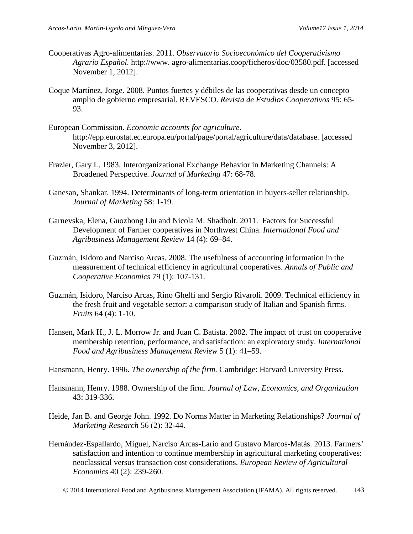- Cooperativas Agro-alimentarias. 2011. *Observatorio Socioeconómico del Cooperativismo Agrario Español.* http://www. agro-alimentarias.coop/ficheros/doc/03580.pdf. [accessed November 1, 2012].
- Coque Martínez, Jorge. 2008. Puntos fuertes y débiles de las cooperativas desde un concepto amplio de gobierno empresarial. REVESCO. *Revista de Estudios Cooperativos* 95: 65- 93.
- European Commission. *Economic accounts for agriculture.* http://epp.eurostat.ec.europa.eu/portal/page/portal/agriculture/data/database. [accessed November 3, 2012].
- Frazier, Gary L. 1983. Interorganizational Exchange Behavior in Marketing Channels: A Broadened Perspective. *Journal of Marketing* 47: 68-78.
- Ganesan, Shankar. 1994. Determinants of long-term orientation in buyers-seller relationship. *Journal of Marketing* 58: 1-19.
- Garnevska, Elena, Guozhong Liu and Nicola M. Shadbolt. 2011. Factors for Successful Development of Farmer cooperatives in Northwest China. *International Food and Agribusiness Management Review* 14 (4): 69–84.
- Guzmán, Isidoro and Narciso Arcas. 2008. The usefulness of accounting information in the measurement of technical efficiency in agricultural cooperatives. *Annals of Public and Cooperative Economics* 79 (1): 107-131.
- Guzmán, Isidoro, Narciso Arcas, Rino Ghelfi and Sergio Rivaroli. 2009. Technical efficiency in the fresh fruit and vegetable sector: a comparison study of Italian and Spanish firms. *Fruits* 64 (4): 1-10.
- Hansen, Mark H., J. L. Morrow Jr. and Juan C. Batista. 2002. The impact of trust on cooperative membership retention, performance, and satisfaction: an exploratory study. *International Food and Agribusiness Management Review* 5 (1): 41–59.
- Hansmann, Henry. 1996. *The ownership of the firm.* Cambridge: Harvard University Press.
- Hansmann, Henry. 1988. Ownership of the firm. *Journal of Law, Economics, and Organization* 43: 319-336.
- Heide, Jan B. and George John. 1992. Do Norms Matter in Marketing Relationships? *Journal of Marketing Research* 56 (2): 32-44.
- Hernández-Espallardo, Miguel, Narciso Arcas-Lario and Gustavo Marcos-Matás. 2013. Farmers' satisfaction and intention to continue membership in agricultural marketing cooperatives: neoclassical versus transaction cost considerations. *European Review of Agricultural Economics* 40 (2): 239-260.
	- 2014 International Food and Agribusiness Management Association (IFAMA). All rights reserved. 143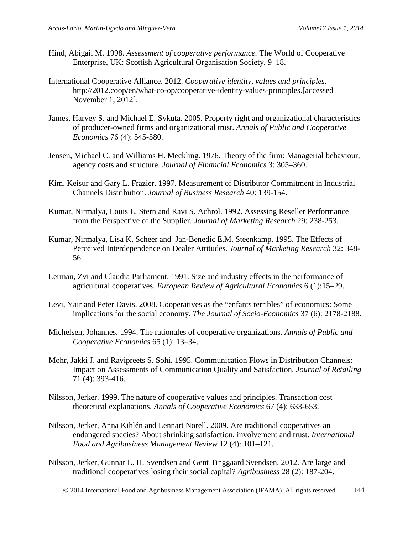- Hind, Abigail M. 1998. *Assessment of cooperative performance.* The World of Cooperative Enterprise, UK: Scottish Agricultural Organisation Society, 9–18.
- International Cooperative Alliance. 2012. *Cooperative identity, values and principles.* http://2012.coop/en/what-co-op/cooperative-identity-values-principles.[accessed November 1, 2012].
- James, Harvey S. and Michael E. Sykuta. 2005. Property right and organizational characteristics of producer-owned firms and organizational trust. *Annals of Public and Cooperative Economics* 76 (4): 545-580.
- Jensen, Michael C. and Williams H. Meckling. 1976. Theory of the firm: Managerial behaviour, agency costs and structure. *Journal of Financial Economics* 3: 305–360.
- Kim, Keisur and Gary L. Frazier. 1997. Measurement of Distributor Commitment in Industrial Channels Distribution. *Journal of Business Research* 40: 139-154.
- Kumar, Nirmalya, Louis L. Stern and Ravi S. Achrol. 1992. Assessing Reseller Performance from the Perspective of the Supplier. *Journal of Marketing Research* 29: 238-253.
- Kumar, Nirmalya, Lisa K, Scheer and Jan-Benedic E.M. Steenkamp. 1995. The Effects of Perceived Interdependence on Dealer Attitudes*. Journal of Marketing Research* 32: 348- 56.
- Lerman, Zvi and Claudia Parliament. 1991. Size and industry effects in the performance of agricultural cooperatives. *European Review of Agricultural Economics* 6 (1):15–29.
- Levi, Yair and Peter Davis. 2008. Cooperatives as the "enfants terribles" of economics: Some implications for the social economy. *The Journal of Socio-Economics* 37 (6): 2178-2188.
- Michelsen, Johannes. 1994. The rationales of cooperative organizations. *Annals of Public and Cooperative Economics* 65 (1): 13–34.
- Mohr, Jakki J. and Ravipreets S. Sohi. 1995. Communication Flows in Distribution Channels: Impact on Assessments of Communication Quality and Satisfaction. *Journal of Retailing* 71 (4): 393-416.
- Nilsson, Jerker. 1999. The nature of cooperative values and principles. Transaction cost theoretical explanations. *Annals of Cooperative Economics* 67 (4): 633-653.
- Nilsson, Jerker, Anna Kihlén and Lennart Norell. 2009. Are traditional cooperatives an endangered species? About shrinking satisfaction, involvement and trust. *International Food and Agribusiness Management Review* 12 (4): 101–121.
- Nilsson, Jerker, Gunnar L. H. Svendsen and Gent Tinggaard Svendsen. 2012. Are large and traditional cooperatives losing their social capital? *Agribusiness* 28 (2): 187-204.

2014 International Food and Agribusiness Management Association (IFAMA). All rights reserved. 144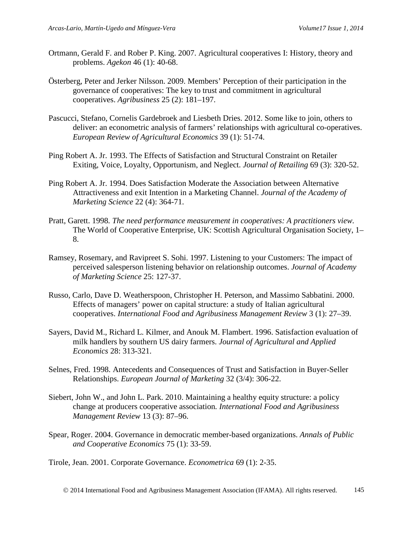- Ortmann, Gerald F. and Rober P. King. 2007. Agricultural cooperatives I: History, theory and problems. *Agekon* 46 (1): 40-68.
- Österberg, Peter and Jerker Nilsson. 2009. Members' Perception of their participation in the governance of cooperatives: The key to trust and commitment in agricultural cooperatives. *Agribusiness* 25 (2): 181–197.
- Pascucci, Stefano, Cornelis Gardebroek and Liesbeth Dries. 2012. Some like to join, others to deliver: an econometric analysis of farmers' relationships with agricultural co-operatives. *European Review of Agricultural Economics* 39 (1): 51-74.
- Ping Robert A. Jr. 1993. The Effects of Satisfaction and Structural Constraint on Retailer Exiting, Voice, Loyalty, Opportunism, and Neglect. *Journal of Retailing* 69 (3): 320-52.
- Ping Robert A. Jr. 1994. Does Satisfaction Moderate the Association between Alternative Attractiveness and exit Intention in a Marketing Channel. *Journal of the Academy of Marketing Science* 22 (4): 364-71.
- Pratt, Garett. 1998*. The need performance measurement in cooperatives: A practitioners view.* The World of Cooperative Enterprise, UK: Scottish Agricultural Organisation Society, 1– 8.
- Ramsey, Rosemary, and Ravipreet S. Sohi. 1997. Listening to your Customers: The impact of perceived salesperson listening behavior on relationship outcomes. *Journal of Academy of Marketing Science* 25: 127-37.
- Russo, Carlo, Dave D. Weatherspoon, Christopher H. Peterson, and Massimo Sabbatini. 2000. Effects of managers' power on capital structure: a study of Italian agricultural cooperatives. *International Food and Agribusiness Management Review* 3 (1): 27–39.
- Sayers, David M., Richard L. Kilmer, and Anouk M. Flambert. 1996. Satisfaction evaluation of milk handlers by southern US dairy farmers. *Journal of Agricultural and Applied Economics* 28: 313-321.
- Selnes, Fred. 1998. Antecedents and Consequences of Trust and Satisfaction in Buyer-Seller Relationships. *European Journal of Marketing* 32 (3/4): 306-22.
- Siebert, John W., and John L. Park. 2010. Maintaining a healthy equity structure: a policy change at producers cooperative association*. International Food and Agribusiness Management Review* 13 (3): 87–96.
- Spear, Roger. 2004. Governance in democratic member-based organizations. *Annals of Public and Cooperative Economics* 75 (1): 33-59.

Tirole, Jean. 2001. Corporate Governance. *Econometrica* 69 (1): 2-35.